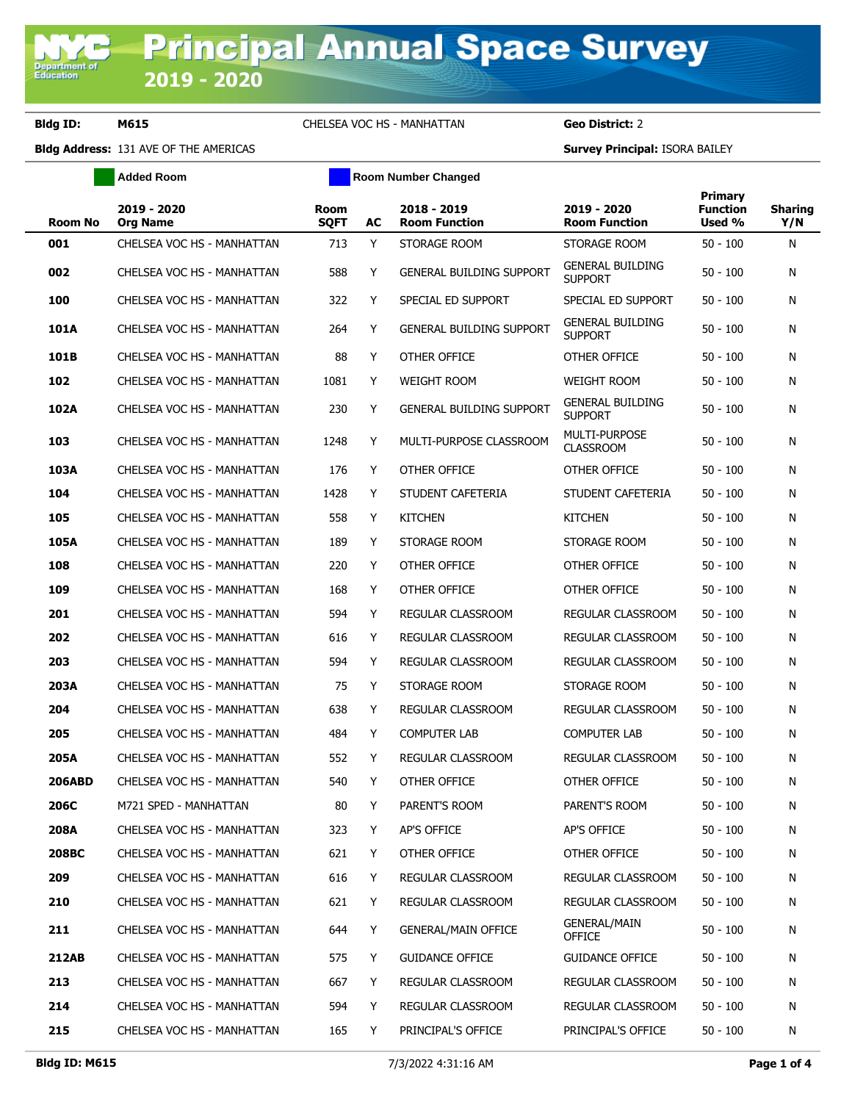Department of<br>Education

**Bldg ID: M615** CHELSEA VOC HS - MANHATTAN **Geo District:** 2

**Added Room Room Room Number Changed** 

**Bldg Address:** 131 AVE OF THE AMERICAS **Survey Principal:** ISORA BAILEY

| <b>Room No</b> | 2019 - 2020<br><b>Org Name</b> | Room<br><b>SQFT</b> | AC | 2018 - 2019<br><b>Room Function</b> | 2019 - 2020<br><b>Room Function</b>       | Primary<br><b>Function</b><br>Used % | <b>Sharing</b><br>Y/N |
|----------------|--------------------------------|---------------------|----|-------------------------------------|-------------------------------------------|--------------------------------------|-----------------------|
| 001            | CHELSEA VOC HS - MANHATTAN     | 713                 | Y  | STORAGE ROOM                        | STORAGE ROOM                              | $50 - 100$                           | N                     |
| 002            | CHELSEA VOC HS - MANHATTAN     | 588                 | Y  | <b>GENERAL BUILDING SUPPORT</b>     | <b>GENERAL BUILDING</b><br><b>SUPPORT</b> | $50 - 100$                           | N                     |
| 100            | CHELSEA VOC HS - MANHATTAN     | 322                 | Y  | SPECIAL ED SUPPORT                  | SPECIAL ED SUPPORT                        | $50 - 100$                           | N                     |
| 101A           | CHELSEA VOC HS - MANHATTAN     | 264                 | Y  | <b>GENERAL BUILDING SUPPORT</b>     | <b>GENERAL BUILDING</b><br><b>SUPPORT</b> | $50 - 100$                           | N                     |
| 101B           | CHELSEA VOC HS - MANHATTAN     | 88                  | Y  | OTHER OFFICE                        | OTHER OFFICE                              | $50 - 100$                           | N                     |
| 102            | CHELSEA VOC HS - MANHATTAN     | 1081                | Y  | WEIGHT ROOM                         | <b>WEIGHT ROOM</b>                        | $50 - 100$                           | N                     |
| 102A           | CHELSEA VOC HS - MANHATTAN     | 230                 | Y  | <b>GENERAL BUILDING SUPPORT</b>     | <b>GENERAL BUILDING</b><br><b>SUPPORT</b> | $50 - 100$                           | N                     |
| 103            | CHELSEA VOC HS - MANHATTAN     | 1248                | Y  | MULTI-PURPOSE CLASSROOM             | MULTI-PURPOSE<br><b>CLASSROOM</b>         | $50 - 100$                           | N                     |
| 103A           | CHELSEA VOC HS - MANHATTAN     | 176                 | Υ  | OTHER OFFICE                        | OTHER OFFICE                              | $50 - 100$                           | N                     |
| 104            | CHELSEA VOC HS - MANHATTAN     | 1428                | Y  | STUDENT CAFETERIA                   | STUDENT CAFETERIA                         | $50 - 100$                           | N                     |
| 105            | CHELSEA VOC HS - MANHATTAN     | 558                 | Y  | <b>KITCHEN</b>                      | <b>KITCHEN</b>                            | $50 - 100$                           | N                     |
| 105A           | CHELSEA VOC HS - MANHATTAN     | 189                 | Y  | STORAGE ROOM                        | STORAGE ROOM                              | $50 - 100$                           | N                     |
| 108            | CHELSEA VOC HS - MANHATTAN     | 220                 | Y  | OTHER OFFICE                        | OTHER OFFICE                              | $50 - 100$                           | N                     |
| 109            | CHELSEA VOC HS - MANHATTAN     | 168                 | Y  | OTHER OFFICE                        | OTHER OFFICE                              | $50 - 100$                           | N                     |
| 201            | CHELSEA VOC HS - MANHATTAN     | 594                 | Y  | REGULAR CLASSROOM                   | REGULAR CLASSROOM                         | $50 - 100$                           | N                     |
| 202            | CHELSEA VOC HS - MANHATTAN     | 616                 | Y  | REGULAR CLASSROOM                   | REGULAR CLASSROOM                         | $50 - 100$                           | N                     |
| 203            | CHELSEA VOC HS - MANHATTAN     | 594                 | Y  | REGULAR CLASSROOM                   | REGULAR CLASSROOM                         | $50 - 100$                           | N                     |
| 203A           | CHELSEA VOC HS - MANHATTAN     | 75                  | Y  | STORAGE ROOM                        | STORAGE ROOM                              | $50 - 100$                           | N                     |
| 204            | CHELSEA VOC HS - MANHATTAN     | 638                 | Y  | REGULAR CLASSROOM                   | REGULAR CLASSROOM                         | $50 - 100$                           | N                     |
| 205            | CHELSEA VOC HS - MANHATTAN     | 484                 | Y  | <b>COMPUTER LAB</b>                 | <b>COMPUTER LAB</b>                       | $50 - 100$                           | N                     |
| 205A           | CHELSEA VOC HS - MANHATTAN     | 552                 | Y  | REGULAR CLASSROOM                   | REGULAR CLASSROOM                         | $50 - 100$                           | N                     |
| <b>206ABD</b>  | CHELSEA VOC HS - MANHATTAN     | 540                 | Y  | OTHER OFFICE                        | OTHER OFFICE                              | $50 - 100$                           | N                     |
| 206C           | M721 SPED - MANHATTAN          | 80                  | Y  | PARENT'S ROOM                       | PARENT'S ROOM                             | $50 - 100$                           | N                     |
| 208A           | CHELSEA VOC HS - MANHATTAN     | 323                 | Y  | AP'S OFFICE                         | AP'S OFFICE                               | $50 - 100$                           | N                     |
| <b>208BC</b>   | CHELSEA VOC HS - MANHATTAN     | 621                 | Y  | OTHER OFFICE                        | OTHER OFFICE                              | $50 - 100$                           | N                     |
| 209            | CHELSEA VOC HS - MANHATTAN     | 616                 | Y  | REGULAR CLASSROOM                   | REGULAR CLASSROOM                         | $50 - 100$                           | N                     |
| 210            | CHELSEA VOC HS - MANHATTAN     | 621                 | Y  | REGULAR CLASSROOM                   | REGULAR CLASSROOM                         | $50 - 100$                           | N                     |
| 211            | CHELSEA VOC HS - MANHATTAN     | 644                 | Y  | <b>GENERAL/MAIN OFFICE</b>          | GENERAL/MAIN<br><b>OFFICE</b>             | $50 - 100$                           | N                     |
| <b>212AB</b>   | CHELSEA VOC HS - MANHATTAN     | 575                 | Y  | <b>GUIDANCE OFFICE</b>              | <b>GUIDANCE OFFICE</b>                    | $50 - 100$                           | N                     |
| 213            | CHELSEA VOC HS - MANHATTAN     | 667                 | Y  | REGULAR CLASSROOM                   | REGULAR CLASSROOM                         | $50 - 100$                           | N                     |
| 214            | CHELSEA VOC HS - MANHATTAN     | 594                 | Y  | REGULAR CLASSROOM                   | REGULAR CLASSROOM                         | $50 - 100$                           | N                     |
| 215            | CHELSEA VOC HS - MANHATTAN     | 165                 | Y  | PRINCIPAL'S OFFICE                  | PRINCIPAL'S OFFICE                        | $50 - 100$                           | N                     |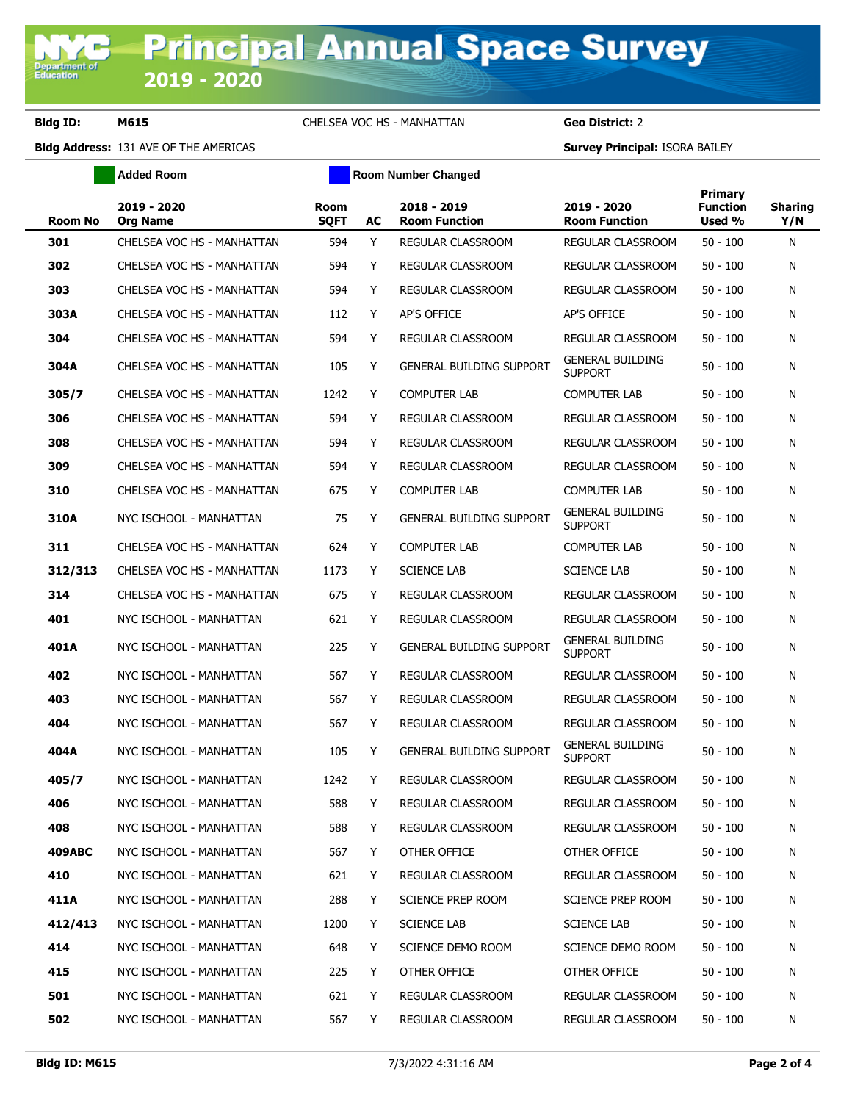**Bldg ID: M615** CHELSEA VOC HS - MANHATTAN **Geo District:** 2

**Added Room Room Room Number Changed** 

**Bldg Address:** 131 AVE OF THE AMERICAS **Survey Principal:** ISORA BAILEY

| <b>Room No</b> | 2019 - 2020<br>Org Name    | Room<br><b>SQFT</b> | AC | 2018 - 2019<br><b>Room Function</b> | 2019 - 2020<br><b>Room Function</b>       | <b>Primary</b><br><b>Function</b><br>Used % | <b>Sharing</b><br>Y/N |
|----------------|----------------------------|---------------------|----|-------------------------------------|-------------------------------------------|---------------------------------------------|-----------------------|
| 301            | CHELSEA VOC HS - MANHATTAN | 594                 | Y  | REGULAR CLASSROOM                   | REGULAR CLASSROOM                         | $50 - 100$                                  | N                     |
| 302            | CHELSEA VOC HS - MANHATTAN | 594                 | Y  | REGULAR CLASSROOM                   | REGULAR CLASSROOM                         | $50 - 100$                                  | N                     |
| 303            | CHELSEA VOC HS - MANHATTAN | 594                 | Y  | REGULAR CLASSROOM                   | REGULAR CLASSROOM                         | $50 - 100$                                  | N                     |
| 303A           | CHELSEA VOC HS - MANHATTAN | 112                 | Y  | AP'S OFFICE                         | AP'S OFFICE                               | $50 - 100$                                  | N                     |
| 304            | CHELSEA VOC HS - MANHATTAN | 594                 | Y  | REGULAR CLASSROOM                   | REGULAR CLASSROOM                         | $50 - 100$                                  | N                     |
| 304A           | CHELSEA VOC HS - MANHATTAN | 105                 | Y  | <b>GENERAL BUILDING SUPPORT</b>     | <b>GENERAL BUILDING</b><br><b>SUPPORT</b> | $50 - 100$                                  | N                     |
| 305/7          | CHELSEA VOC HS - MANHATTAN | 1242                | Y  | <b>COMPUTER LAB</b>                 | <b>COMPUTER LAB</b>                       | $50 - 100$                                  | N                     |
| 306            | CHELSEA VOC HS - MANHATTAN | 594                 | Y  | REGULAR CLASSROOM                   | REGULAR CLASSROOM                         | $50 - 100$                                  | N                     |
| 308            | CHELSEA VOC HS - MANHATTAN | 594                 | Y  | REGULAR CLASSROOM                   | REGULAR CLASSROOM                         | $50 - 100$                                  | N                     |
| 309            | CHELSEA VOC HS - MANHATTAN | 594                 | Y  | <b>REGULAR CLASSROOM</b>            | REGULAR CLASSROOM                         | $50 - 100$                                  | N                     |
| 310            | CHELSEA VOC HS - MANHATTAN | 675                 | Y  | <b>COMPUTER LAB</b>                 | <b>COMPUTER LAB</b>                       | $50 - 100$                                  | N                     |
| 310A           | NYC ISCHOOL - MANHATTAN    | 75                  | Y  | <b>GENERAL BUILDING SUPPORT</b>     | <b>GENERAL BUILDING</b><br><b>SUPPORT</b> | $50 - 100$                                  | N                     |
| 311            | CHELSEA VOC HS - MANHATTAN | 624                 | Y  | <b>COMPUTER LAB</b>                 | <b>COMPUTER LAB</b>                       | $50 - 100$                                  | N                     |
| 312/313        | CHELSEA VOC HS - MANHATTAN | 1173                | Y  | <b>SCIENCE LAB</b>                  | <b>SCIENCE LAB</b>                        | $50 - 100$                                  | N                     |
| 314            | CHELSEA VOC HS - MANHATTAN | 675                 | Y  | REGULAR CLASSROOM                   | REGULAR CLASSROOM                         | $50 - 100$                                  | N                     |
| 401            | NYC ISCHOOL - MANHATTAN    | 621                 | Y  | REGULAR CLASSROOM                   | REGULAR CLASSROOM                         | $50 - 100$                                  | N                     |
| 401A           | NYC ISCHOOL - MANHATTAN    | 225                 | Y  | <b>GENERAL BUILDING SUPPORT</b>     | <b>GENERAL BUILDING</b><br><b>SUPPORT</b> | $50 - 100$                                  | N                     |
| 402            | NYC ISCHOOL - MANHATTAN    | 567                 | Υ  | REGULAR CLASSROOM                   | REGULAR CLASSROOM                         | $50 - 100$                                  | N                     |
| 403            | NYC ISCHOOL - MANHATTAN    | 567                 | Y  | REGULAR CLASSROOM                   | REGULAR CLASSROOM                         | $50 - 100$                                  | N                     |
| 404            | NYC ISCHOOL - MANHATTAN    | 567                 | Y  | REGULAR CLASSROOM                   | REGULAR CLASSROOM                         | $50 - 100$                                  | N                     |
| 404A           | NYC ISCHOOL - MANHATTAN    | 105                 | Y  | <b>GENERAL BUILDING SUPPORT</b>     | <b>GENERAL BUILDING</b><br><b>SUPPORT</b> | $50 - 100$                                  | N                     |
| 405/7          | NYC ISCHOOL - MANHATTAN    | 1242                | Y  | REGULAR CLASSROOM                   | REGULAR CLASSROOM                         | $50 - 100$                                  | N                     |
| 406            | NYC ISCHOOL - MANHATTAN    | 588                 | Y  | REGULAR CLASSROOM                   | <b>REGULAR CLASSROOM</b>                  | $50 - 100$                                  | N                     |
| 408            | NYC ISCHOOL - MANHATTAN    | 588                 | Y  | REGULAR CLASSROOM                   | REGULAR CLASSROOM                         | $50 - 100$                                  | N                     |
| 409ABC         | NYC ISCHOOL - MANHATTAN    | 567                 | Y  | OTHER OFFICE                        | OTHER OFFICE                              | $50 - 100$                                  | N                     |
| 410            | NYC ISCHOOL - MANHATTAN    | 621                 | Y  | REGULAR CLASSROOM                   | REGULAR CLASSROOM                         | $50 - 100$                                  | N                     |
| 411A           | NYC ISCHOOL - MANHATTAN    | 288                 | Y  | <b>SCIENCE PREP ROOM</b>            | SCIENCE PREP ROOM                         | $50 - 100$                                  | N                     |
| 412/413        | NYC ISCHOOL - MANHATTAN    | 1200                | Y  | SCIENCE LAB                         | SCIENCE LAB                               | 50 - 100                                    | N                     |
| 414            | NYC ISCHOOL - MANHATTAN    | 648                 | Y  | SCIENCE DEMO ROOM                   | SCIENCE DEMO ROOM                         | $50 - 100$                                  | N                     |
| 415            | NYC ISCHOOL - MANHATTAN    | 225                 | Y  | OTHER OFFICE                        | OTHER OFFICE                              | 50 - 100                                    | N                     |
| 501            | NYC ISCHOOL - MANHATTAN    | 621                 | Y  | REGULAR CLASSROOM                   | REGULAR CLASSROOM                         | 50 - 100                                    | N                     |
| 502            | NYC ISCHOOL - MANHATTAN    | 567                 | Y  | REGULAR CLASSROOM                   | REGULAR CLASSROOM                         | 50 - 100                                    | N                     |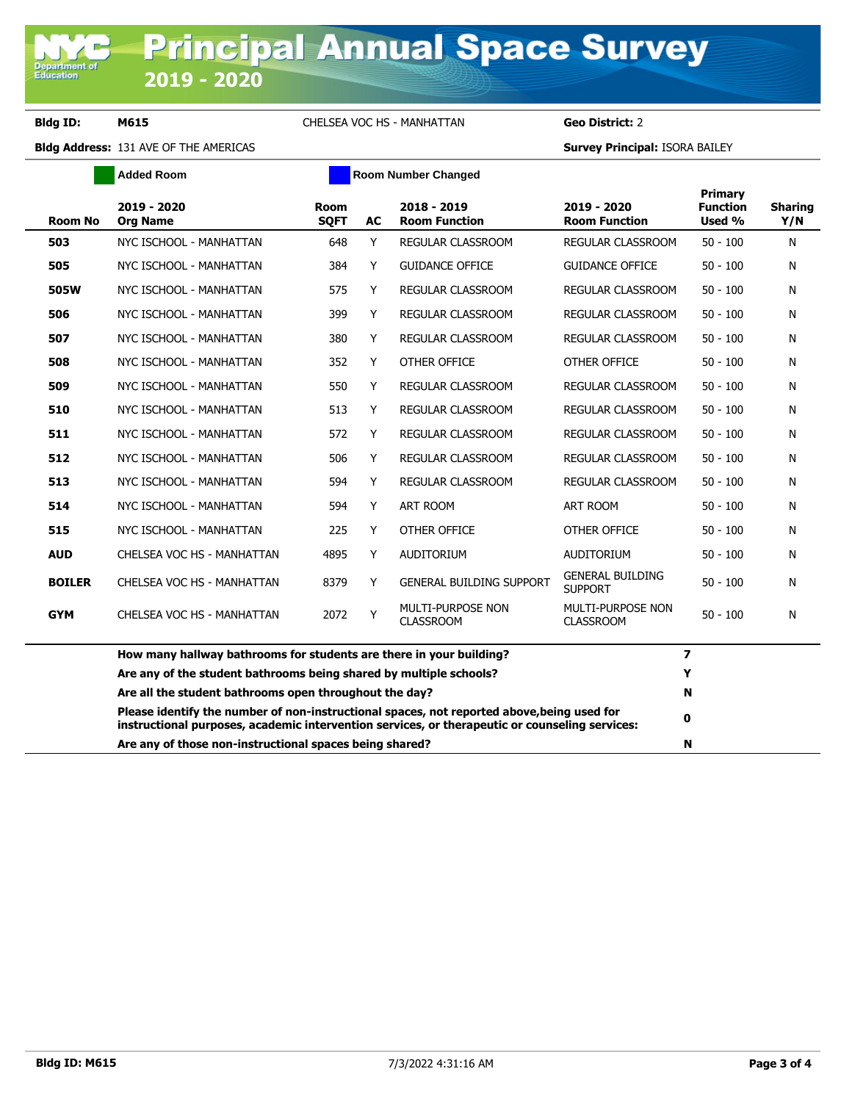**Bldg ID: M615** CHELSEA VOC HS - MANHATTAN **Geo District:** 2

**Bldg Address:** 131 AVE OF THE AMERICAS **Survey Principal:** ISORA BAILEY

|                | <b>Added Room</b>                                                                                                                                                                                 |                            | <b>Room Number Changed</b> |                                       |                                           |                                      |                       |
|----------------|---------------------------------------------------------------------------------------------------------------------------------------------------------------------------------------------------|----------------------------|----------------------------|---------------------------------------|-------------------------------------------|--------------------------------------|-----------------------|
| <b>Room No</b> | 2019 - 2020<br><b>Org Name</b>                                                                                                                                                                    | <b>Room</b><br><b>SQFT</b> | <b>AC</b>                  | 2018 - 2019<br><b>Room Function</b>   | 2019 - 2020<br><b>Room Function</b>       | Primary<br><b>Function</b><br>Used % | <b>Sharing</b><br>Y/N |
| 503            | NYC ISCHOOL - MANHATTAN                                                                                                                                                                           | 648                        | Y                          | REGULAR CLASSROOM                     | REGULAR CLASSROOM                         | $50 - 100$                           | N                     |
| 505            | NYC ISCHOOL - MANHATTAN                                                                                                                                                                           | 384                        | Y                          | <b>GUIDANCE OFFICE</b>                | <b>GUIDANCE OFFICE</b>                    | $50 - 100$                           | N                     |
| 505W           | NYC ISCHOOL - MANHATTAN                                                                                                                                                                           | 575                        | Y                          | <b>REGULAR CLASSROOM</b>              | REGULAR CLASSROOM                         | $50 - 100$                           | N                     |
| 506            | NYC ISCHOOL - MANHATTAN                                                                                                                                                                           | 399                        | Y                          | <b>REGULAR CLASSROOM</b>              | <b>REGULAR CLASSROOM</b>                  | $50 - 100$                           | N                     |
| 507            | NYC ISCHOOL - MANHATTAN                                                                                                                                                                           | 380                        | Y                          | REGULAR CLASSROOM                     | <b>REGULAR CLASSROOM</b>                  | $50 - 100$                           | N                     |
| 508            | NYC ISCHOOL - MANHATTAN                                                                                                                                                                           | 352                        | Y                          | OTHER OFFICE                          | OTHER OFFICE                              | $50 - 100$                           | N                     |
| 509            | NYC ISCHOOL - MANHATTAN                                                                                                                                                                           | 550                        | Y                          | REGULAR CLASSROOM                     | <b>REGULAR CLASSROOM</b>                  | $50 - 100$                           | N                     |
| 510            | NYC ISCHOOL - MANHATTAN                                                                                                                                                                           | 513                        | Y                          | <b>REGULAR CLASSROOM</b>              | <b>REGULAR CLASSROOM</b>                  | 50 - 100                             | N                     |
| 511            | NYC ISCHOOL - MANHATTAN                                                                                                                                                                           | 572                        | Y                          | REGULAR CLASSROOM                     | REGULAR CLASSROOM                         | $50 - 100$                           | N                     |
| 512            | NYC ISCHOOL - MANHATTAN                                                                                                                                                                           | 506                        | Y                          | REGULAR CLASSROOM                     | REGULAR CLASSROOM                         | $50 - 100$                           | N                     |
| 513            | NYC ISCHOOL - MANHATTAN                                                                                                                                                                           | 594                        | Y                          | <b>REGULAR CLASSROOM</b>              | REGULAR CLASSROOM                         | $50 - 100$                           | N                     |
| 514            | NYC ISCHOOL - MANHATTAN                                                                                                                                                                           | 594                        | Y                          | <b>ART ROOM</b>                       | ART ROOM                                  | $50 - 100$                           | N                     |
| 515            | NYC ISCHOOL - MANHATTAN                                                                                                                                                                           | 225                        | Y                          | OTHER OFFICE                          | OTHER OFFICE                              | $50 - 100$                           | N                     |
| <b>AUD</b>     | CHELSEA VOC HS - MANHATTAN                                                                                                                                                                        | 4895                       | Y                          | <b>AUDITORIUM</b>                     | <b>AUDITORIUM</b>                         | 50 - 100                             | N                     |
| <b>BOILER</b>  | CHELSEA VOC HS - MANHATTAN                                                                                                                                                                        | 8379                       | Y                          | <b>GENERAL BUILDING SUPPORT</b>       | <b>GENERAL BUILDING</b><br><b>SUPPORT</b> | $50 - 100$                           | N                     |
| <b>GYM</b>     | CHELSEA VOC HS - MANHATTAN                                                                                                                                                                        | 2072                       | Y                          | MULTI-PURPOSE NON<br><b>CLASSROOM</b> | MULTI-PURPOSE NON<br><b>CLASSROOM</b>     | $50 - 100$                           | N                     |
|                | How many hallway bathrooms for students are there in your building?                                                                                                                               |                            |                            |                                       |                                           |                                      |                       |
|                | Are any of the student bathrooms being shared by multiple schools?                                                                                                                                |                            |                            |                                       |                                           |                                      |                       |
|                | N<br>Are all the student bathrooms open throughout the day?                                                                                                                                       |                            |                            |                                       |                                           |                                      |                       |
|                | Please identify the number of non-instructional spaces, not reported above, being used for<br>0<br>instructional purposes, academic intervention services, or therapeutic or counseling services: |                            |                            |                                       |                                           |                                      |                       |
|                | Are any of those non-instructional spaces being shared?                                                                                                                                           |                            |                            |                                       |                                           |                                      |                       |